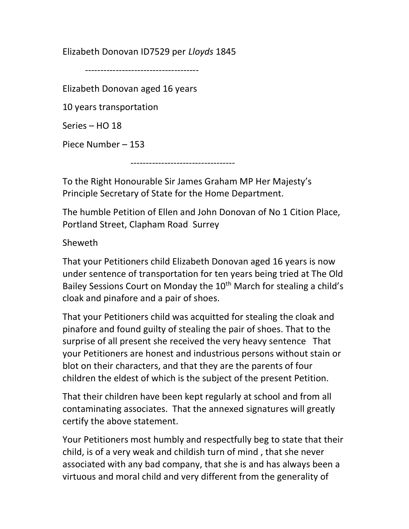Elizabeth Donovan ID7529 per Lloyds 1845

-------------------------------------

Elizabeth Donovan aged 16 years

10 years transportation

Series – HO 18

Piece Number – 153

----------------------------------

To the Right Honourable Sir James Graham MP Her Majesty's Principle Secretary of State for the Home Department.

The humble Petition of Ellen and John Donovan of No 1 Cition Place, Portland Street, Clapham Road Surrey

Sheweth

That your Petitioners child Elizabeth Donovan aged 16 years is now under sentence of transportation for ten years being tried at The Old Bailey Sessions Court on Monday the 10<sup>th</sup> March for stealing a child's cloak and pinafore and a pair of shoes.

That your Petitioners child was acquitted for stealing the cloak and pinafore and found guilty of stealing the pair of shoes. That to the surprise of all present she received the very heavy sentence That your Petitioners are honest and industrious persons without stain or blot on their characters, and that they are the parents of four children the eldest of which is the subject of the present Petition.

That their children have been kept regularly at school and from all contaminating associates. That the annexed signatures will greatly certify the above statement.

Your Petitioners most humbly and respectfully beg to state that their child, is of a very weak and childish turn of mind , that she never associated with any bad company, that she is and has always been a virtuous and moral child and very different from the generality of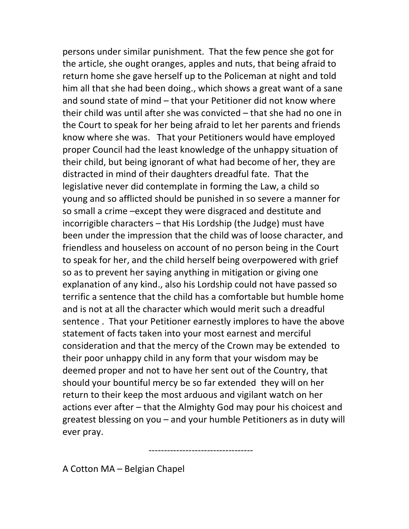persons under similar punishment. That the few pence she got for the article, she ought oranges, apples and nuts, that being afraid to return home she gave herself up to the Policeman at night and told him all that she had been doing., which shows a great want of a sane and sound state of mind – that your Petitioner did not know where their child was until after she was convicted – that she had no one in the Court to speak for her being afraid to let her parents and friends know where she was. That your Petitioners would have employed proper Council had the least knowledge of the unhappy situation of their child, but being ignorant of what had become of her, they are distracted in mind of their daughters dreadful fate. That the legislative never did contemplate in forming the Law, a child so young and so afflicted should be punished in so severe a manner for so small a crime –except they were disgraced and destitute and incorrigible characters – that His Lordship (the Judge) must have been under the impression that the child was of loose character, and friendless and houseless on account of no person being in the Court to speak for her, and the child herself being overpowered with grief so as to prevent her saying anything in mitigation or giving one explanation of any kind., also his Lordship could not have passed so terrific a sentence that the child has a comfortable but humble home and is not at all the character which would merit such a dreadful sentence . That your Petitioner earnestly implores to have the above statement of facts taken into your most earnest and merciful consideration and that the mercy of the Crown may be extended to their poor unhappy child in any form that your wisdom may be deemed proper and not to have her sent out of the Country, that should your bountiful mercy be so far extended they will on her return to their keep the most arduous and vigilant watch on her actions ever after – that the Almighty God may pour his choicest and greatest blessing on you – and your humble Petitioners as in duty will ever pray.

----------------------------------

A Cotton MA – Belgian Chapel